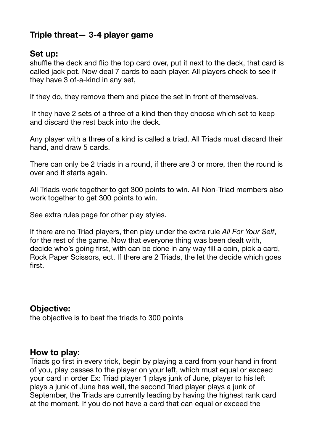# **Triple threat— 3-4 player game**

## **Set up:**

shuffle the deck and flip the top card over, put it next to the deck, that card is called jack pot. Now deal 7 cards to each player. All players check to see if they have 3 of-a-kind in any set,

If they do, they remove them and place the set in front of themselves.

 If they have 2 sets of a three of a kind then they choose which set to keep and discard the rest back into the deck.

Any player with a three of a kind is called a triad. All Triads must discard their hand, and draw 5 cards.

There can only be 2 triads in a round, if there are 3 or more, then the round is over and it starts again.

All Triads work together to get 300 points to win. All Non-Triad members also work together to get 300 points to win.

See extra rules page for other play styles.

If there are no Triad players, then play under the extra rule *All For Your Self*, for the rest of the game. Now that everyone thing was been dealt with, decide who's going first, with can be done in any way fill a coin, pick a card, Rock Paper Scissors, ect. If there are 2 Triads, the let the decide which goes first.

## **Objective:**

the objective is to beat the triads to 300 points

### **How to play:**

Triads go first in every trick, begin by playing a card from your hand in front of you, play passes to the player on your left, which must equal or exceed your card in order Ex: Triad player 1 plays junk of June, player to his left plays a junk of June has well, the second Triad player plays a junk of September, the Triads are currently leading by having the highest rank card at the moment. If you do not have a card that can equal or exceed the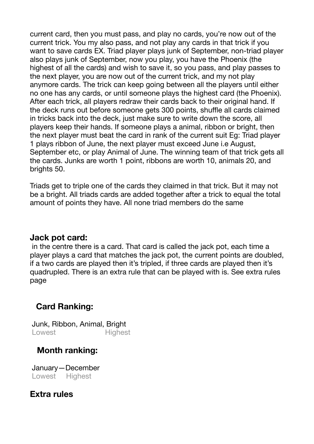current card, then you must pass, and play no cards, you're now out of the current trick. You my also pass, and not play any cards in that trick if you want to save cards EX. Triad player plays junk of September, non-triad player also plays junk of September, now you play, you have the Phoenix (the highest of all the cards) and wish to save it, so you pass, and play passes to the next player, you are now out of the current trick, and my not play anymore cards. The trick can keep going between all the players until either no one has any cards, or until someone plays the highest card (the Phoenix). After each trick, all players redraw their cards back to their original hand. If the deck runs out before someone gets 300 points, shuffle all cards claimed in tricks back into the deck, just make sure to write down the score, all players keep their hands. If someone plays a animal, ribbon or bright, then the next player must beat the card in rank of the current suit Eg: Triad player 1 plays ribbon of June, the next player must exceed June i.e August, September etc, or play Animal of June. The winning team of that trick gets all the cards. Junks are worth 1 point, ribbons are worth 10, animals 20, and brights 50.

Triads get to triple one of the cards they claimed in that trick. But it may not be a bright. All triads cards are added together after a trick to equal the total amount of points they have. All none triad members do the same

### **Jack pot card:**

 in the centre there is a card. That card is called the jack pot, each time a player plays a card that matches the jack pot, the current points are doubled, if a two cards are played then it's tripled, if three cards are played then it's quadrupled. There is an extra rule that can be played with is. See extra rules page

# **Card Ranking:**

 Junk, Ribbon, Animal, Bright Lowest Highest

# **Month ranking:**

 January—December Lowest Highest

# **Extra rules**